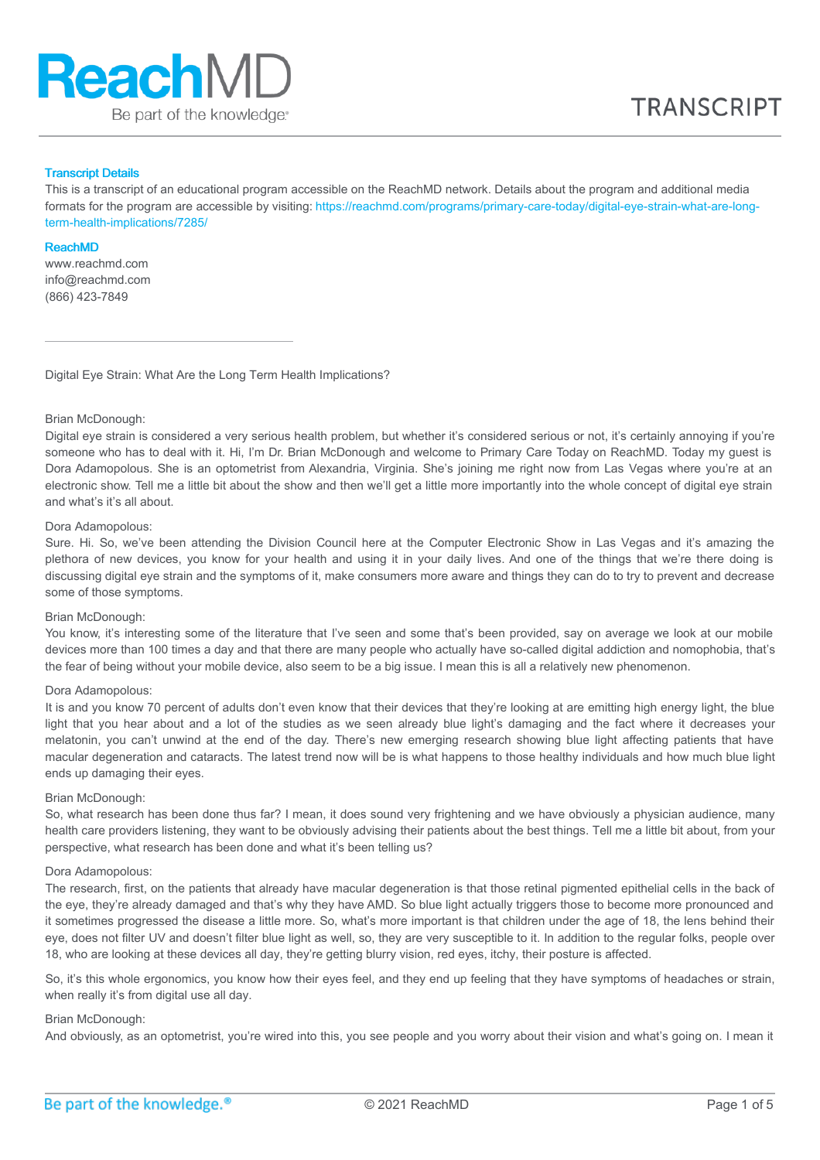

#### Transcript Details

This is a transcript of an educational program accessible on the ReachMD network. Details about the program and additional media formats for the program are accessible by visiting: [https://reachmd.com/programs/primary-care-today/digital-eye-strain-what-are-long](https://reachmd.com/programs/primary-care-today/digital-eye-strain-what-are-long-term-health-implications/7285/)term-health-implications/7285/

#### ReachMD

www.reachmd.com info@reachmd.com (866) 423-7849

Digital Eye Strain: What Are the Long Term Health Implications?

# Brian McDonough:

Digital eye strain is considered a very serious health problem, but whether it's considered serious or not, it's certainly annoying if you're someone who has to deal with it. Hi, I'm Dr. Brian McDonough and welcome to Primary Care Today on ReachMD. Today my quest is Dora Adamopolous. She is an optometrist from Alexandria, Virginia. She's joining me right now from Las Vegas where you're at an electronic show. Tell me a little bit about the show and then we'll get a little more importantly into the whole concept of digital eye strain and what's it's all about.

#### Dora Adamopolous:

Sure. Hi. So, we've been attending the Division Council here at the Computer Electronic Show in Las Vegas and it's amazing the plethora of new devices, you know for your health and using it in your daily lives. And one of the things that we're there doing is discussing digital eye strain and the symptoms of it, make consumers more aware and things they can do to try to prevent and decrease some of those symptoms.

### Brian McDonough:

You know, it's interesting some of the literature that I've seen and some that's been provided, say on average we look at our mobile devices more than 100 times a day and that there are many people who actually have so-called digital addiction and nomophobia, that's the fear of being without your mobile device, also seem to be a big issue. I mean this is all a relatively new phenomenon.

#### Dora Adamopolous:

It is and you know 70 percent of adults don't even know that their devices that they're looking at are emitting high energy light, the blue light that you hear about and a lot of the studies as we seen already blue light's damaging and the fact where it decreases your melatonin, you can't unwind at the end of the day. There's new emerging research showing blue light affecting patients that have macular degeneration and cataracts. The latest trend now will be is what happens to those healthy individuals and how much blue light ends up damaging their eyes.

#### Brian McDonough:

So, what research has been done thus far? I mean, it does sound very frightening and we have obviously a physician audience, many health care providers listening, they want to be obviously advising their patients about the best things. Tell me a little bit about, from your perspective, what research has been done and what it's been telling us?

#### Dora Adamopolous:

The research, first, on the patients that already have macular degeneration is that those retinal pigmented epithelial cells in the back of the eye, they're already damaged and that's why they have AMD. So blue light actually triggers those to become more pronounced and it sometimes progressed the disease a little more. So, what's more important is that children under the age of 18, the lens behind their eye, does not filter UV and doesn't filter blue light as well, so, they are very susceptible to it. In addition to the regular folks, people over 18, who are looking at these devices all day, they're getting blurry vision, red eyes, itchy, their posture is affected.

So, it's this whole ergonomics, you know how their eyes feel, and they end up feeling that they have symptoms of headaches or strain, when really it's from digital use all day.

#### Brian McDonough:

And obviously, as an optometrist, you're wired into this, you see people and you worry about their vision and what's going on. I mean it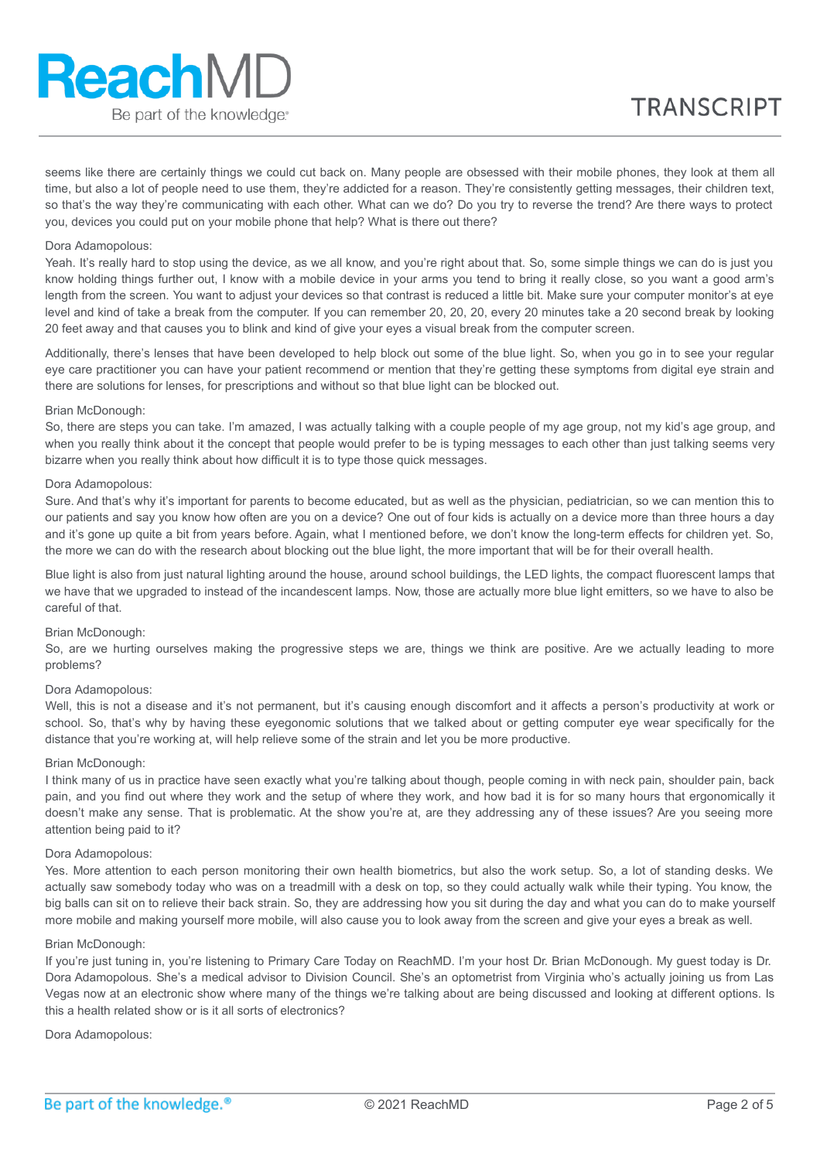# **ReachMD** Be part of the knowledge.

seems like there are certainly things we could cut back on. Many people are obsessed with their mobile phones, they look at them all time, but also a lot of people need to use them, they're addicted for a reason. They're consistently getting messages, their children text, so that's the way they're communicating with each other. What can we do? Do you try to reverse the trend? Are there ways to protect you, devices you could put on your mobile phone that help? What is there out there?

# Dora Adamopolous:

Yeah. It's really hard to stop using the device, as we all know, and you're right about that. So, some simple things we can do is just you know holding things further out, I know with a mobile device in your arms you tend to bring it really close, so you want a good arm's length from the screen. You want to adjust your devices so that contrast is reduced a little bit. Make sure your computer monitor's at eye level and kind of take a break from the computer. If you can remember 20, 20, 20, every 20 minutes take a 20 second break by looking 20 feet away and that causes you to blink and kind of give your eyes a visual break from the computer screen.

Additionally, there's lenses that have been developed to help block out some of the blue light. So, when you go in to see your regular eye care practitioner you can have your patient recommend or mention that they're getting these symptoms from digital eye strain and there are solutions for lenses, for prescriptions and without so that blue light can be blocked out.

# Brian McDonough:

So, there are steps you can take. I'm amazed, I was actually talking with a couple people of my age group, not my kid's age group, and when you really think about it the concept that people would prefer to be is typing messages to each other than just talking seems very bizarre when you really think about how difficult it is to type those quick messages.

# Dora Adamopolous:

Sure. And that's why it's important for parents to become educated, but as well as the physician, pediatrician, so we can mention this to our patients and say you know how often are you on a device? One out of four kids is actually on a device more than three hours a day and it's gone up quite a bit from years before. Again, what I mentioned before, we don't know the long-term effects for children yet. So, the more we can do with the research about blocking out the blue light, the more important that will be for their overall health.

Blue light is also from just natural lighting around the house, around school buildings, the LED lights, the compact fluorescent lamps that we have that we upgraded to instead of the incandescent lamps. Now, those are actually more blue light emitters, so we have to also be careful of that.

# Brian McDonough:

So, are we hurting ourselves making the progressive steps we are, things we think are positive. Are we actually leading to more problems?

# Dora Adamopolous:

Well, this is not a disease and it's not permanent, but it's causing enough discomfort and it affects a person's productivity at work or school. So, that's why by having these eyegonomic solutions that we talked about or getting computer eye wear specifically for the distance that you're working at, will help relieve some of the strain and let you be more productive.

# Brian McDonough:

I think many of us in practice have seen exactly what you're talking about though, people coming in with neck pain, shoulder pain, back pain, and you find out where they work and the setup of where they work, and how bad it is for so many hours that ergonomically it doesn't make any sense. That is problematic. At the show you're at, are they addressing any of these issues? Are you seeing more attention being paid to it?

# Dora Adamopolous:

Yes. More attention to each person monitoring their own health biometrics, but also the work setup. So, a lot of standing desks. We actually saw somebody today who was on a treadmill with a desk on top, so they could actually walk while their typing. You know, the big balls can sit on to relieve their back strain. So, they are addressing how you sit during the day and what you can do to make yourself more mobile and making yourself more mobile, will also cause you to look away from the screen and give your eyes a break as well.

#### Brian McDonough:

If you're just tuning in, you're listening to Primary Care Today on ReachMD. I'm your host Dr. Brian McDonough. My guest today is Dr. Dora Adamopolous. She's a medical advisor to Division Council. She's an optometrist from Virginia who's actually joining us from Las Vegas now at an electronic show where many of the things we're talking about are being discussed and looking at different options. Is this a health related show or is it all sorts of electronics?

Dora Adamopolous: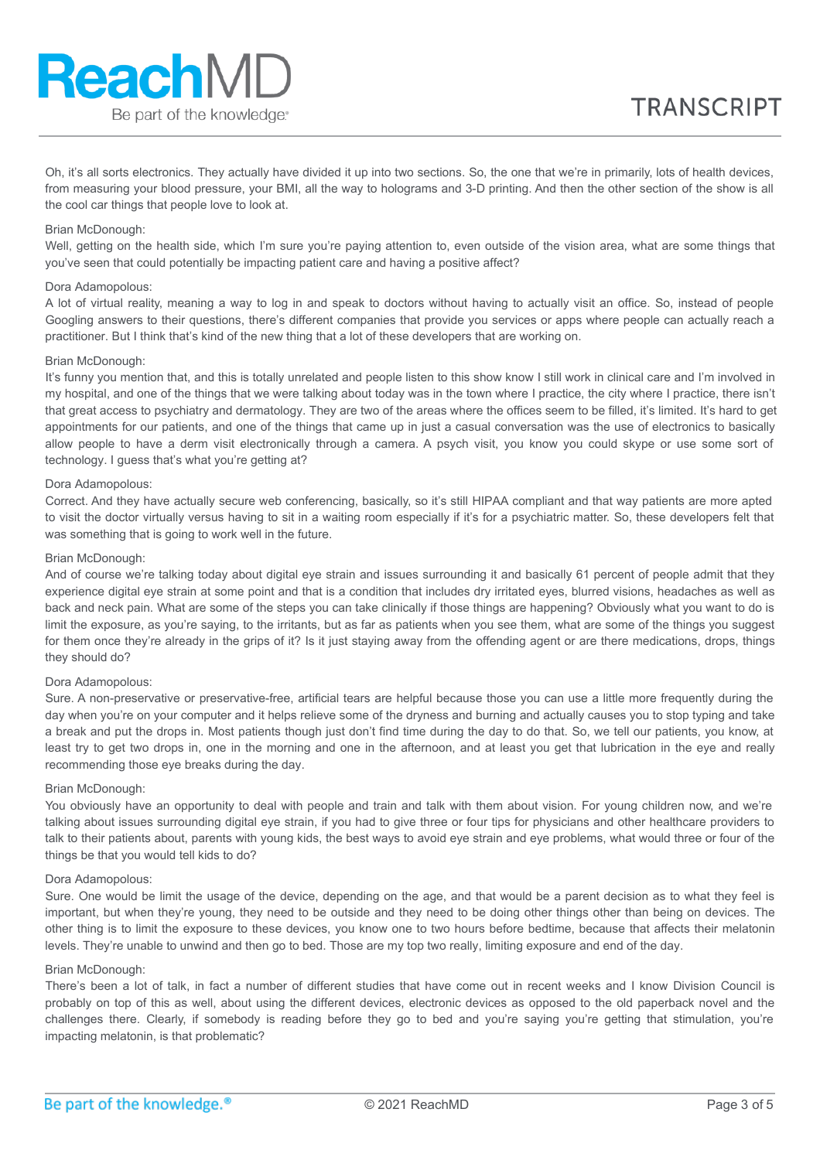Oh, it's all sorts electronics. They actually have divided it up into two sections. So, the one that we're in primarily, lots of health devices, from measuring your blood pressure, your BMI, all the way to holograms and 3-D printing. And then the other section of the show is all the cool car things that people love to look at.

# Brian McDonough:

Well, getting on the health side, which I'm sure you're paying attention to, even outside of the vision area, what are some things that you've seen that could potentially be impacting patient care and having a positive affect?

# Dora Adamopolous:

A lot of virtual reality, meaning a way to log in and speak to doctors without having to actually visit an office. So, instead of people Googling answers to their questions, there's different companies that provide you services or apps where people can actually reach a practitioner. But I think that's kind of the new thing that a lot of these developers that are working on.

#### Brian McDonough:

It's funny you mention that, and this is totally unrelated and people listen to this show know I still work in clinical care and I'm involved in my hospital, and one of the things that we were talking about today was in the town where I practice, the city where I practice, there isn't that great access to psychiatry and dermatology. They are two of the areas where the offices seem to be filled, it's limited. It's hard to get appointments for our patients, and one of the things that came up in just a casual conversation was the use of electronics to basically allow people to have a derm visit electronically through a camera. A psych visit, you know you could skype or use some sort of technology. I guess that's what you're getting at?

# Dora Adamopolous:

Correct. And they have actually secure web conferencing, basically, so it's still HIPAA compliant and that way patients are more apted to visit the doctor virtually versus having to sit in a waiting room especially if it's for a psychiatric matter. So, these developers felt that was something that is going to work well in the future.

# Brian McDonough:

And of course we're talking today about digital eye strain and issues surrounding it and basically 61 percent of people admit that they experience digital eye strain at some point and that is a condition that includes dry irritated eyes, blurred visions, headaches as well as back and neck pain. What are some of the steps you can take clinically if those things are happening? Obviously what you want to do is limit the exposure, as you're saying, to the irritants, but as far as patients when you see them, what are some of the things you suggest for them once they're already in the grips of it? Is it just staying away from the offending agent or are there medications, drops, things they should do?

## Dora Adamopolous:

Sure. A non-preservative or preservative-free, artificial tears are helpful because those you can use a little more frequently during the day when you're on your computer and it helps relieve some of the dryness and burning and actually causes you to stop typing and take a break and put the drops in. Most patients though just don't find time during the day to do that. So, we tell our patients, you know, at least try to get two drops in, one in the morning and one in the afternoon, and at least you get that lubrication in the eye and really recommending those eye breaks during the day.

# Brian McDonough:

You obviously have an opportunity to deal with people and train and talk with them about vision. For young children now, and we're talking about issues surrounding digital eye strain, if you had to give three or four tips for physicians and other healthcare providers to talk to their patients about, parents with young kids, the best ways to avoid eye strain and eye problems, what would three or four of the things be that you would tell kids to do?

#### Dora Adamopolous:

Sure. One would be limit the usage of the device, depending on the age, and that would be a parent decision as to what they feel is important, but when they're young, they need to be outside and they need to be doing other things other than being on devices. The other thing is to limit the exposure to these devices, you know one to two hours before bedtime, because that affects their melatonin levels. They're unable to unwind and then go to bed. Those are my top two really, limiting exposure and end of the day.

# Brian McDonough:

There's been a lot of talk, in fact a number of different studies that have come out in recent weeks and I know Division Council is probably on top of this as well, about using the different devices, electronic devices as opposed to the old paperback novel and the challenges there. Clearly, if somebody is reading before they go to bed and you're saying you're getting that stimulation, you're impacting melatonin, is that problematic?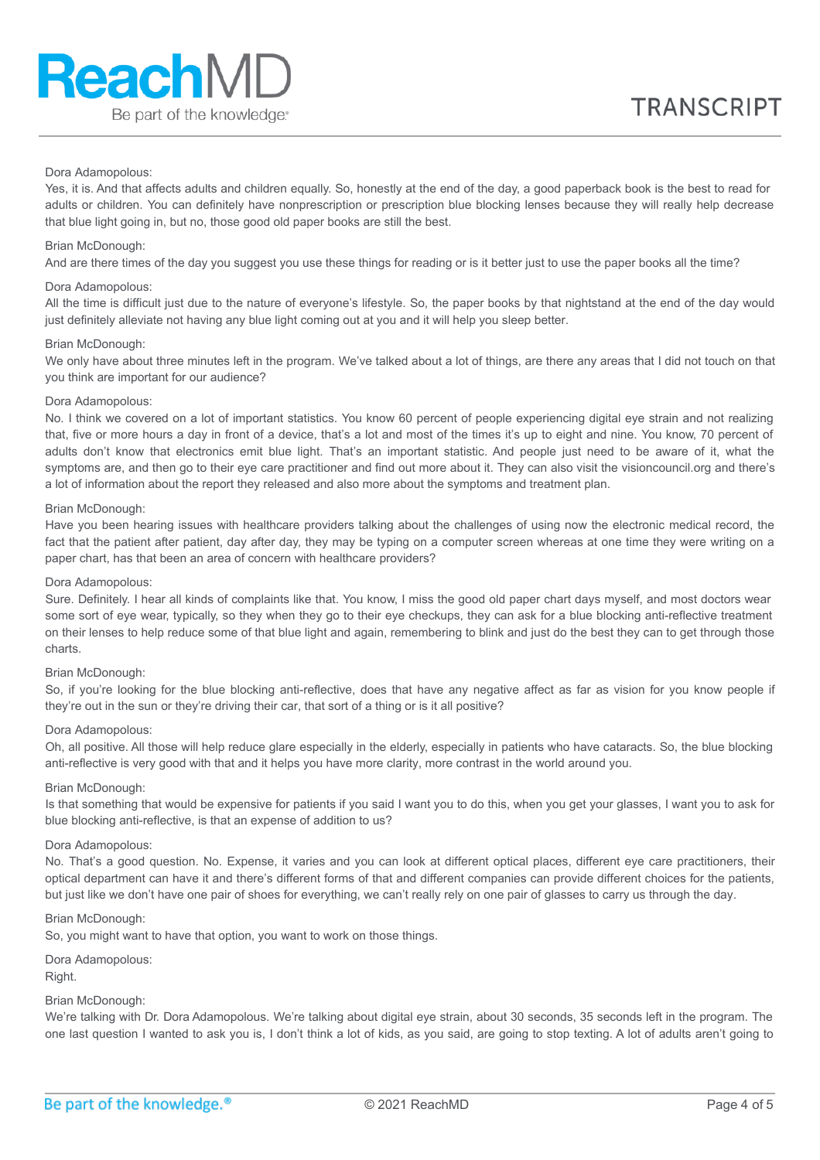# Dora Adamopolous:

Yes, it is. And that affects adults and children equally. So, honestly at the end of the day, a good paperback book is the best to read for adults or children. You can definitely have nonprescription or prescription blue blocking lenses because they will really help decrease that blue light going in, but no, those good old paper books are still the best.

#### Brian McDonough:

And are there times of the day you suggest you use these things for reading or is it better just to use the paper books all the time?

#### Dora Adamopolous:

All the time is difficult just due to the nature of everyone's lifestyle. So, the paper books by that nightstand at the end of the day would just definitely alleviate not having any blue light coming out at you and it will help you sleep better.

#### Brian McDonough:

We only have about three minutes left in the program. We've talked about a lot of things, are there any areas that I did not touch on that you think are important for our audience?

# Dora Adamopolous:

No. I think we covered on a lot of important statistics. You know 60 percent of people experiencing digital eye strain and not realizing that, five or more hours a day in front of a device, that's a lot and most of the times it's up to eight and nine. You know, 70 percent of adults don't know that electronics emit blue light. That's an important statistic. And people just need to be aware of it, what the symptoms are, and then go to their eye care practitioner and find out more about it. They can also visit the visioncouncil.org and there's a lot of information about the report they released and also more about the symptoms and treatment plan.

#### Brian McDonough:

Have you been hearing issues with healthcare providers talking about the challenges of using now the electronic medical record, the fact that the patient after patient, day after day, they may be typing on a computer screen whereas at one time they were writing on a paper chart, has that been an area of concern with healthcare providers?

#### Dora Adamopolous:

Sure. Definitely. I hear all kinds of complaints like that. You know, I miss the good old paper chart days myself, and most doctors wear some sort of eye wear, typically, so they when they go to their eye checkups, they can ask for a blue blocking anti-reflective treatment on their lenses to help reduce some of that blue light and again, remembering to blink and just do the best they can to get through those charts.

#### Brian McDonough:

So, if you're looking for the blue blocking anti-reflective, does that have any negative affect as far as vision for you know people if they're out in the sun or they're driving their car, that sort of a thing or is it all positive?

#### Dora Adamopolous:

Oh, all positive. All those will help reduce glare especially in the elderly, especially in patients who have cataracts. So, the blue blocking anti-reflective is very good with that and it helps you have more clarity, more contrast in the world around you.

#### Brian McDonough:

Is that something that would be expensive for patients if you said I want you to do this, when you get your glasses, I want you to ask for blue blocking anti-reflective, is that an expense of addition to us?

#### Dora Adamopolous:

No. That's a good question. No. Expense, it varies and you can look at different optical places, different eye care practitioners, their optical department can have it and there's different forms of that and different companies can provide different choices for the patients, but just like we don't have one pair of shoes for everything, we can't really rely on one pair of glasses to carry us through the day.

#### Brian McDonough:

So, you might want to have that option, you want to work on those things.

# Dora Adamopolous:

Right.

# Brian McDonough:

We're talking with Dr. Dora Adamopolous. We're talking about digital eye strain, about 30 seconds, 35 seconds left in the program. The one last question I wanted to ask you is, I don't think a lot of kids, as you said, are going to stop texting. A lot of adults aren't going to